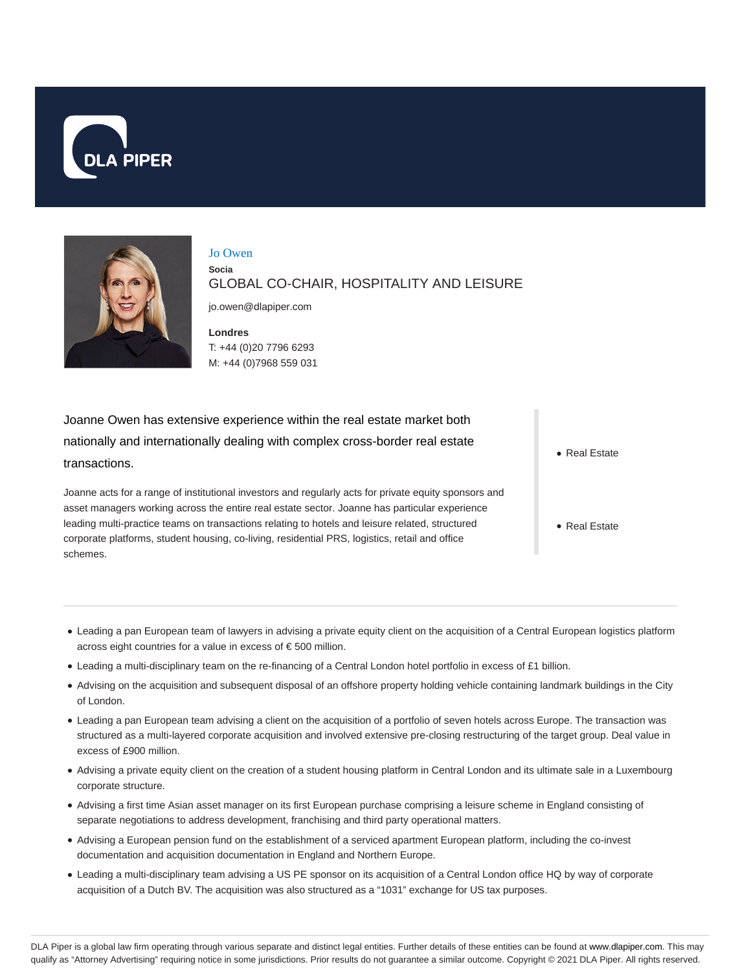



Jo Owen **Socia** GLOBAL CO-CHAIR, HOSPITALITY AND LEISURE

jo.owen@dlapiper.com

**Londres** T: +44 (0)20 7796 6293 M: +44 (0)7968 559 031

Joanne Owen has extensive experience within the real estate market both nationally and internationally dealing with complex cross-border real estate transactions.

Joanne acts for a range of institutional investors and regularly acts for private equity sponsors and asset managers working across the entire real estate sector. Joanne has particular experience leading multi-practice teams on transactions relating to hotels and leisure related, structured corporate platforms, student housing, co-living, residential PRS, logistics, retail and office schemes.

• Real Estate

- Real Estate
- Leading a pan European team of lawyers in advising a private equity client on the acquisition of a Central European logistics platform across eight countries for a value in excess of € 500 million.
- Leading a multi-disciplinary team on the re-financing of a Central London hotel portfolio in excess of £1 billion.
- Advising on the acquisition and subsequent disposal of an offshore property holding vehicle containing landmark buildings in the City of London.
- Leading a pan European team advising a client on the acquisition of a portfolio of seven hotels across Europe. The transaction was structured as a multi-layered corporate acquisition and involved extensive pre-closing restructuring of the target group. Deal value in excess of £900 million.
- Advising a private equity client on the creation of a student housing platform in Central London and its ultimate sale in a Luxembourg corporate structure.
- Advising a first time Asian asset manager on its first European purchase comprising a leisure scheme in England consisting of separate negotiations to address development, franchising and third party operational matters.
- Advising a European pension fund on the establishment of a serviced apartment European platform, including the co-invest documentation and acquisition documentation in England and Northern Europe.
- Leading a multi-disciplinary team advising a US PE sponsor on its acquisition of a Central London office HQ by way of corporate acquisition of a Dutch BV. The acquisition was also structured as a "1031" exchange for US tax purposes.